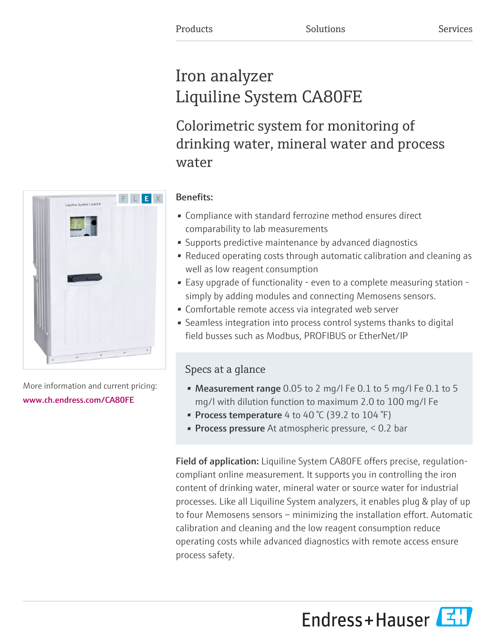# Iron analyzer Liquiline System CA80FE

Colorimetric system for monitoring of drinking water, mineral water and process water



More information and current pricing: [www.ch.endress.com/CA80FE](https://www.ch.endress.com/CA80FE)

# Benefits:

- Compliance with standard ferrozine method ensures direct comparability to lab measurements
- Supports predictive maintenance by advanced diagnostics
- Reduced operating costs through automatic calibration and cleaning as well as low reagent consumption
- Easy upgrade of functionality even to a complete measuring station simply by adding modules and connecting Memosens sensors.
- Comfortable remote access via integrated web server
- Seamless integration into process control systems thanks to digital field busses such as Modbus, PROFIBUS or EtherNet/IP

# Specs at a glance

- Measurement range 0.05 to 2 mg/l Fe 0.1 to 5 mg/l Fe 0.1 to 5 mg/l with dilution function to maximum 2.0 to 100 mg/l Fe
- Process temperature 4 to 40  $\degree$ C (39.2 to 104  $\degree$ F)
- **Process pressure** At atmospheric pressure, < 0.2 bar

Field of application: Liquiline System CA80FE offers precise, regulationcompliant online measurement. It supports you in controlling the iron content of drinking water, mineral water or source water for industrial processes. Like all Liquiline System analyzers, it enables plug & play of up to four Memosens sensors – minimizing the installation effort. Automatic calibration and cleaning and the low reagent consumption reduce operating costs while advanced diagnostics with remote access ensure process safety.

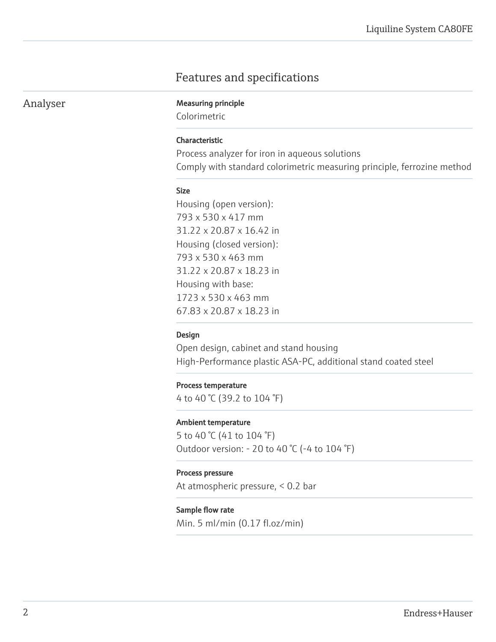# Features and specifications

## Analyser Measuring principle

Colorimetric

#### Characteristic

Process analyzer for iron in aqueous solutions Comply with standard colorimetric measuring principle, ferrozine method

#### Size

Housing (open version): 793 x 530 x 417 mm 31.22 x 20.87 x 16.42 in Housing (closed version): 793 x 530 x 463 mm 31.22 x 20.87 x 18.23 in Housing with base: 1723 x 530 x 463 mm 67.83 x 20.87 x 18.23 in

#### Design

Open design, cabinet and stand housing High-Performance plastic ASA-PC, additional stand coated steel

#### Process temperature

4 to 40 °C (39.2 to 104 °F)

#### Ambient temperature

5 to 40 °C (41 to 104 °F) Outdoor version: - 20 to 40 °C (-4 to 104 °F)

#### Process pressure

At atmospheric pressure, < 0.2 bar

#### Sample flow rate

Min. 5 ml/min (0.17 fl.oz/min)